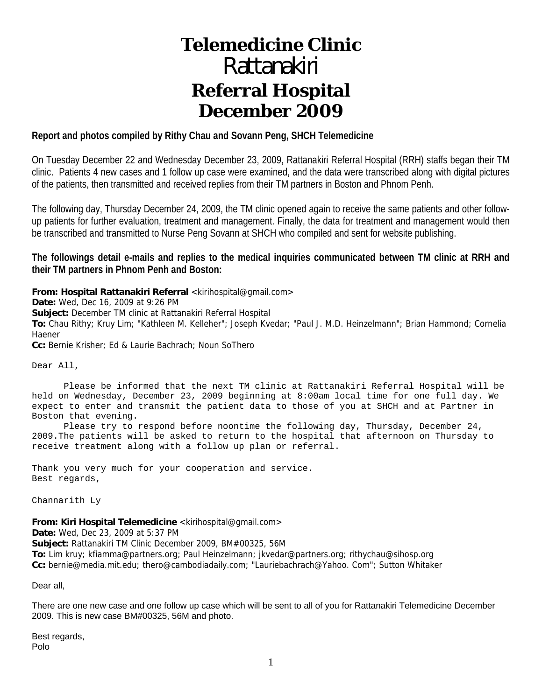# **Telemedicine Clinic**  *Rattanakiri*

# **Referral Hospital December 2009**

#### **Report and photos compiled by Rithy Chau and Sovann Peng, SHCH Telemedicine**

On Tuesday December 22 and Wednesday December 23, 2009, Rattanakiri Referral Hospital (RRH) staffs began their TM clinic. Patients 4 new cases and 1 follow up case were examined, and the data were transcribed along with digital pictures of the patients, then transmitted and received replies from their TM partners in Boston and Phnom Penh.

The following day, Thursday December 24, 2009, the TM clinic opened again to receive the same patients and other followup patients for further evaluation, treatment and management. Finally, the data for treatment and management would then be transcribed and transmitted to Nurse Peng Sovann at SHCH who compiled and sent for website publishing.

**The followings detail e-mails and replies to the medical inquiries communicated between TM clinic at RRH and their TM partners in Phnom Penh and Boston:** 

**From: Hospital Rattanakiri Referral** <kirihospital@gmail.com>

**Date:** Wed, Dec 16, 2009 at 9:26 PM

**Subject:** December TM clinic at Rattanakiri Referral Hospital

**To:** Chau Rithy; Kruy Lim; "Kathleen M. Kelleher"; Joseph Kvedar; "Paul J. M.D. Heinzelmann"; Brian Hammond; Cornelia Haener

**Cc:** Bernie Krisher; Ed & Laurie Bachrach; Noun SoThero

Dear All,

 Please be informed that the next TM clinic at Rattanakiri Referral Hospital will be held on Wednesday, December 23, 2009 beginning at 8:00am local time for one full day. We expect to enter and transmit the patient data to those of you at SHCH and at Partner in Boston that evening.

 Please try to respond before noontime the following day, Thursday, December 24, 2009.The patients will be asked to return to the hospital that afternoon on Thursday to receive treatment along with a follow up plan or referral.

Thank you very much for your cooperation and service. Best regards,

Channarith Ly

**From: Kiri Hospital Telemedicine** <kirihospital@gmail.com> **Date:** Wed, Dec 23, 2009 at 5:37 PM **Subject:** Rattanakiri TM Clinic December 2009, BM#00325, 56M **To:** Lim kruy; kfiamma@partners.org; Paul Heinzelmann; jkvedar@partners.org; rithychau@sihosp.org **Cc:** bernie@media.mit.edu; thero@cambodiadaily.com; "Lauriebachrach@Yahoo. Com"; Sutton Whitaker

Dear all,

There are one new case and one follow up case which will be sent to all of you for Rattanakiri Telemedicine December 2009. This is new case BM#00325, 56M and photo.

Best regards, Polo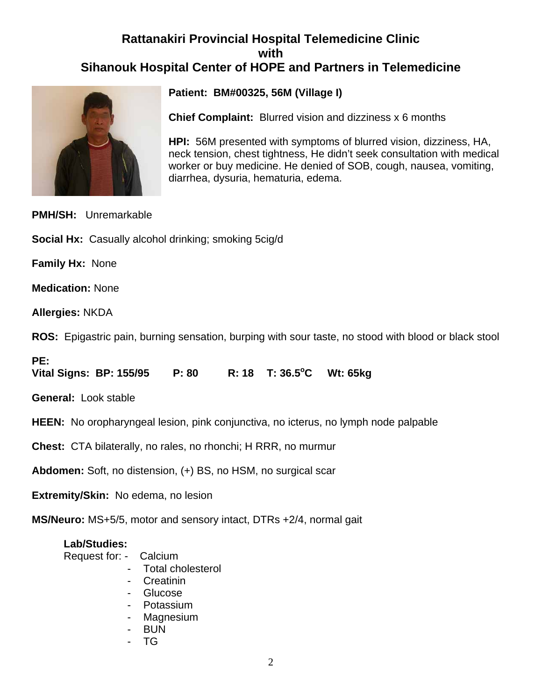# **Rattanakiri Provincial Hospital Telemedicine Clinic with Sihanouk Hospital Center of HOPE and Partners in Telemedicine**



**Patient: BM#00325, 56M (Village I)**

**Chief Complaint:** Blurred vision and dizziness x 6 months

**HPI:** 56M presented with symptoms of blurred vision, dizziness, HA, neck tension, chest tightness, He didn't seek consultation with medical worker or buy medicine. He denied of SOB, cough, nausea, vomiting, diarrhea, dysuria, hematuria, edema.

# **PMH/SH:** Unremarkable

**Social Hx:** Casually alcohol drinking; smoking 5cig/d

**Family Hx:** None

**Medication:** None

**Allergies:** NKDA

**ROS:** Epigastric pain, burning sensation, burping with sour taste, no stood with blood or black stool

**PE:** 

**Vital Signs: BP: 155/95 P: 80** R: 18 T: 36.5°C Wt: 65kg

**General:** Look stable

**HEEN:** No oropharyngeal lesion, pink conjunctiva, no icterus, no lymph node palpable

**Chest:** CTA bilaterally, no rales, no rhonchi; H RRR, no murmur

**Abdomen:** Soft, no distension, (+) BS, no HSM, no surgical scar

**Extremity/Skin:** No edema, no lesion

**MS/Neuro:** MS+5/5, motor and sensory intact, DTRs +2/4, normal gait

### **Lab/Studies:**

- Request for: Calcium
	- Total cholesterol
	- Creatinin
	- Glucose
	- Potassium
	- Magnesium
	- BUN
	- TG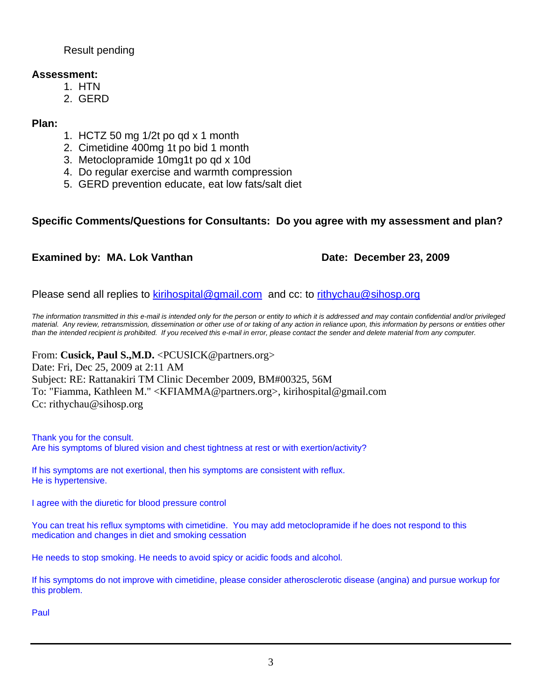Result pending

### **Assessment:**

- 1. HTN
- 2. GERD

# **Plan:**

- 1. HCTZ 50 mg 1/2t po qd x 1 month
- 2. Cimetidine 400mg 1t po bid 1 month
- 3. Metoclopramide 10mg1t po qd x 10d
- 4. Do regular exercise and warmth compression
- 5. GERD prevention educate, eat low fats/salt diet

# **Specific Comments/Questions for Consultants: Do you agree with my assessment and plan?**

# **Examined by: MA. Lok Vanthan Date: December 23, 2009**

Please send all replies to kirihospital@gmail.com and cc: to rithychau@sihosp.org

*The information transmitted in this e-mail is intended only for the person or entity to which it is addressed and may contain confidential and/or privileged material. Any review, retransmission, dissemination or other use of or taking of any action in reliance upon, this information by persons or entities other than the intended recipient is prohibited. If you received this e-mail in error, please contact the sender and delete material from any computer.*

From: **Cusick, Paul S.,M.D.** <PCUSICK@partners.org> Date: Fri, Dec 25, 2009 at 2:11 AM Subject: RE: Rattanakiri TM Clinic December 2009, BM#00325, 56M To: "Fiamma, Kathleen M." <KFIAMMA@partners.org>, kirihospital@gmail.com Cc: rithychau@sihosp.org

Thank you for the consult. Are his symptoms of blured vision and chest tightness at rest or with exertion/activity?

If his symptoms are not exertional, then his symptoms are consistent with reflux. He is hypertensive.

I agree with the diuretic for blood pressure control

You can treat his reflux symptoms with cimetidine. You may add metoclopramide if he does not respond to this medication and changes in diet and smoking cessation

He needs to stop smoking. He needs to avoid spicy or acidic foods and alcohol.

If his symptoms do not improve with cimetidine, please consider atherosclerotic disease (angina) and pursue workup for this problem.

Paul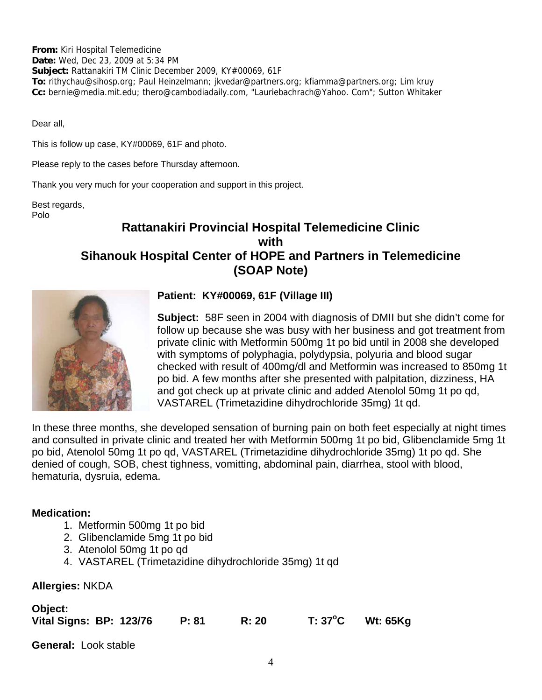**From:** Kiri Hospital Telemedicine **Date:** Wed, Dec 23, 2009 at 5:34 PM **Subject:** Rattanakiri TM Clinic December 2009, KY#00069, 61F **To:** rithychau@sihosp.org; Paul Heinzelmann; jkvedar@partners.org; kfiamma@partners.org; Lim kruy **Cc:** bernie@media.mit.edu; thero@cambodiadaily.com, "Lauriebachrach@Yahoo. Com"; Sutton Whitaker

Dear all,

This is follow up case, KY#00069, 61F and photo.

Please reply to the cases before Thursday afternoon.

Thank you very much for your cooperation and support in this project.

Best regards, Polo

# **Rattanakiri Provincial Hospital Telemedicine Clinic with Sihanouk Hospital Center of HOPE and Partners in Telemedicine (SOAP Note)**



# **Patient: KY#00069, 61F (Village III)**

**Subject:** 58F seen in 2004 with diagnosis of DMII but she didn't come for follow up because she was busy with her business and got treatment from private clinic with Metformin 500mg 1t po bid until in 2008 she developed with symptoms of polyphagia, polydypsia, polyuria and blood sugar checked with result of 400mg/dl and Metformin was increased to 850mg 1t po bid. A few months after she presented with palpitation, dizziness, HA and got check up at private clinic and added Atenolol 50mg 1t po qd, VASTAREL (Trimetazidine dihydrochloride 35mg) 1t qd.

In these three months, she developed sensation of burning pain on both feet especially at night times and consulted in private clinic and treated her with Metformin 500mg 1t po bid, Glibenclamide 5mg 1t po bid, Atenolol 50mg 1t po qd, VASTAREL (Trimetazidine dihydrochloride 35mg) 1t po qd. She denied of cough, SOB, chest tighness, vomitting, abdominal pain, diarrhea, stool with blood, hematuria, dysruia, edema.

### **Medication:**

- 1. Metformin 500mg 1t po bid
- 2. Glibenclamide 5mg 1t po bid
- 3. Atenolol 50mg 1t po qd
- 4. VASTAREL (Trimetazidine dihydrochloride 35mg) 1t qd

#### **Allergies:** NKDA

**Object:** 

| <b>ODJECT:</b>          |  |       |       |         |                 |
|-------------------------|--|-------|-------|---------|-----------------|
| Vital Signs: BP: 123/76 |  | P: 81 | R: 20 | T: 37°C | <b>Wt: 65Kg</b> |

**General:** Look stable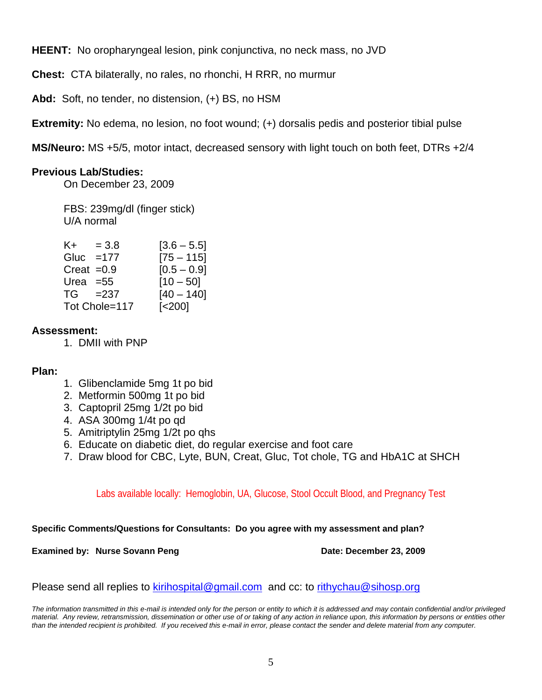**HEENT:** No oropharyngeal lesion, pink conjunctiva, no neck mass, no JVD

**Chest:** CTA bilaterally, no rales, no rhonchi, H RRR, no murmur

**Abd:** Soft, no tender, no distension, (+) BS, no HSM

**Extremity:** No edema, no lesion, no foot wound; (+) dorsalis pedis and posterior tibial pulse

**MS/Neuro:** MS +5/5, motor intact, decreased sensory with light touch on both feet, DTRs +2/4

# **Previous Lab/Studies:**

On December 23, 2009

 FBS: 239mg/dl (finger stick) U/A normal

| K+ l | $= 3.8$       | $[3.6 - 5.5]$          |
|------|---------------|------------------------|
|      | Gluc $=177$   | $[75 - 115]$           |
|      | Creat $=0.9$  | $[0.5 - 0.9]$          |
|      | Urea $=55$    | $[10 - 50]$            |
|      | $TG = 237$    | $[40 - 140]$           |
|      | Tot Chole=117 | $\left[ < 200 \right]$ |

### **Assessment:**

1. DMII with PNP

### **Plan:**

- 1. Glibenclamide 5mg 1t po bid
- 2. Metformin 500mg 1t po bid
- 3. Captopril 25mg 1/2t po bid
- 4. ASA 300mg 1/4t po qd
- 5. Amitriptylin 25mg 1/2t po qhs
- 6. Educate on diabetic diet, do regular exercise and foot care
- 7. Draw blood for CBC, Lyte, BUN, Creat, Gluc, Tot chole, TG and HbA1C at SHCH

Labs available locally: Hemoglobin, UA, Glucose, Stool Occult Blood, and Pregnancy Test

**Specific Comments/Questions for Consultants: Do you agree with my assessment and plan?**

**Examined by: Nurse Sovann Peng Date: December 23, 2009** 

Please send all replies to kirihospital@gmail.com and cc: to rithychau@sihosp.org

*The information transmitted in this e-mail is intended only for the person or entity to which it is addressed and may contain confidential and/or privileged material. Any review, retransmission, dissemination or other use of or taking of any action in reliance upon, this information by persons or entities other than the intended recipient is prohibited. If you received this e-mail in error, please contact the sender and delete material from any computer.*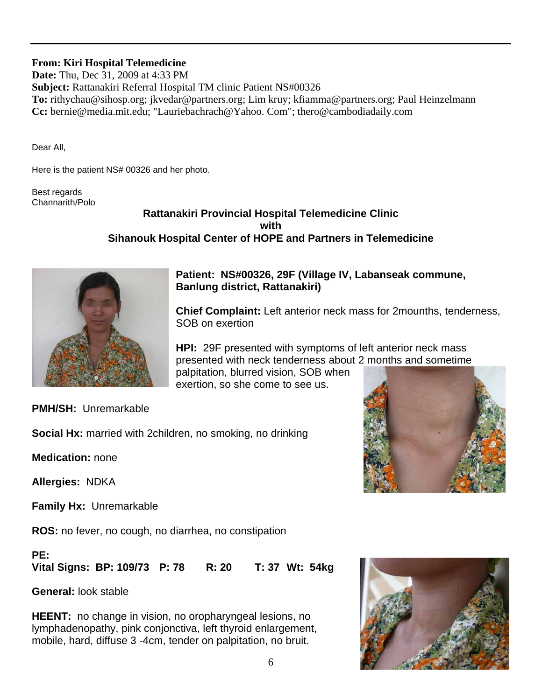# **From: Kiri Hospital Telemedicine**

**Date:** Thu, Dec 31, 2009 at 4:33 PM **Subject:** Rattanakiri Referral Hospital TM clinic Patient NS#00326 **To:** rithychau@sihosp.org; jkvedar@partners.org; Lim kruy; kfiamma@partners.org; Paul Heinzelmann **Cc:** bernie@media.mit.edu; "Lauriebachrach@Yahoo. Com"; thero@cambodiadaily.com

Dear All,

Here is the patient NS# 00326 and her photo.

Best regards Channarith/Polo

# **Rattanakiri Provincial Hospital Telemedicine Clinic with Sihanouk Hospital Center of HOPE and Partners in Telemedicine**



# **Patient: NS#00326, 29F (Village IV, Labanseak commune, Banlung district, Rattanakiri)**

**Chief Complaint:** Left anterior neck mass for 2mounths, tenderness, SOB on exertion

**HPI:** 29F presented with symptoms of left anterior neck mass presented with neck tenderness about 2 months and sometime palpitation, blurred vision, SOB when exertion, so she come to see us.

**PMH/SH:** Unremarkable

**Social Hx:** married with 2children, no smoking, no drinking

**Medication:** none

**Allergies:** NDKA

**Family Hx:** Unremarkable

**ROS:** no fever, no cough, no diarrhea, no constipation

#### **PE:**

**Vital Signs: BP: 109/73 P: 78 R: 20 T: 37 Wt: 54kg**

**General:** look stable

**HEENT:** no change in vision, no oropharyngeal lesions, no lymphadenopathy, pink conjonctiva, left thyroid enlargement, mobile, hard, diffuse 3 -4cm, tender on palpitation, no bruit.

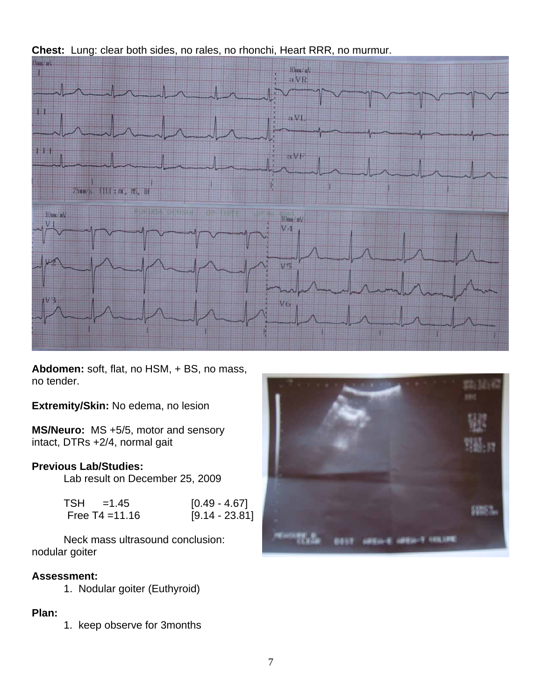

**Chest:** Lung: clear both sides, no rales, no rhonchi, Heart RRR, no murmur.

**Abdomen:** soft, flat, no HSM, + BS, no mass, no tender.

**Extremity/Skin:** No edema, no lesion

**MS/Neuro:** MS +5/5, motor and sensory intact, DTRs +2/4, normal gait

### **Previous Lab/Studies:**

Lab result on December 25, 2009

| TSH =1.45         | $[0.49 - 4.67]$  |
|-------------------|------------------|
| Free $T4 = 11.16$ | $[9.14 - 23.81]$ |

 Neck mass ultrasound conclusion: nodular goiter

# **Assessment:**

1. Nodular goiter (Euthyroid)

# **Plan:**

1. keep observe for 3months

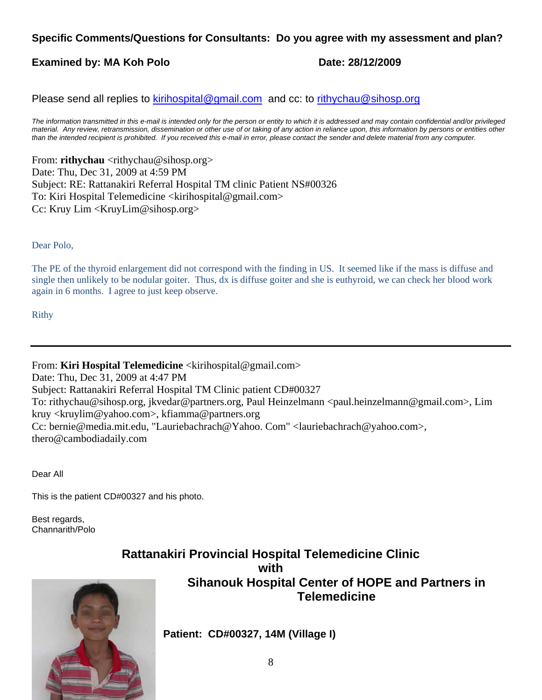# **Specific Comments/Questions for Consultants: Do you agree with my assessment and plan?**

# **Examined by: MA Koh Polo Date: 28/12/2009**

Please send all replies to kirihospital@gmail.com and cc: to rithychau@sihosp.org

*The information transmitted in this e-mail is intended only for the person or entity to which it is addressed and may contain confidential and/or privileged material. Any review, retransmission, dissemination or other use of or taking of any action in reliance upon, this information by persons or entities other than the intended recipient is prohibited. If you received this e-mail in error, please contact the sender and delete material from any computer.*

From: **rithychau** <rithychau@sihosp.org> Date: Thu, Dec 31, 2009 at 4:59 PM Subject: RE: Rattanakiri Referral Hospital TM clinic Patient NS#00326 To: Kiri Hospital Telemedicine <kirihospital@gmail.com> Cc: Kruy Lim <KruyLim@sihosp.org>

Dear Polo,

The PE of the thyroid enlargement did not correspond with the finding in US. It seemed like if the mass is diffuse and single then unlikely to be nodular goiter. Thus, dx is diffuse goiter and she is euthyroid, we can check her blood work again in 6 months. I agree to just keep observe.

Rithy

From: **Kiri Hospital Telemedicine** <kirihospital@gmail.com>

Date: Thu, Dec 31, 2009 at 4:47 PM Subject: Rattanakiri Referral Hospital TM Clinic patient CD#00327 To: rithychau@sihosp.org, jkvedar@partners.org, Paul Heinzelmann <paul.heinzelmann@gmail.com>, Lim kruy <kruylim@yahoo.com>, kfiamma@partners.org Cc: bernie@media.mit.edu, "Lauriebachrach@Yahoo. Com" <lauriebachrach@yahoo.com>, thero@cambodiadaily.com

Dear All

This is the patient CD#00327 and his photo.

Best regards, Channarith/Polo

# **Rattanakiri Provincial Hospital Telemedicine Clinic with Sihanouk Hospital Center of HOPE and Partners in Telemedicine**



**Patient: CD#00327, 14M (Village I)**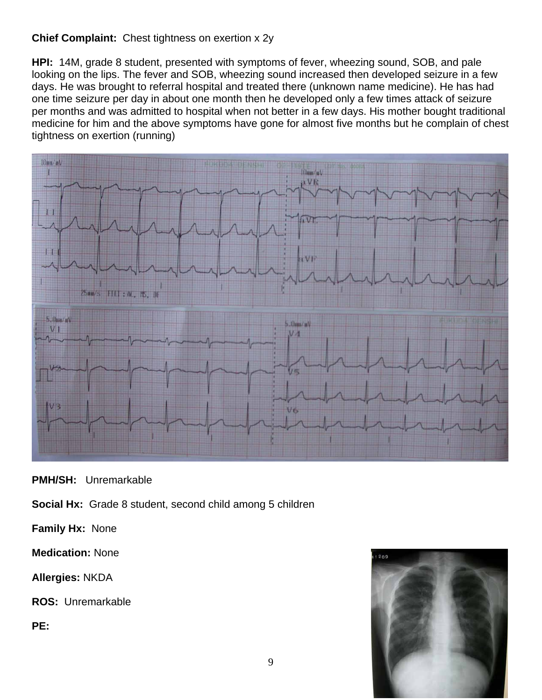# **Chief Complaint:** Chest tightness on exertion x 2y

**HPI:** 14M, grade 8 student, presented with symptoms of fever, wheezing sound, SOB, and pale looking on the lips. The fever and SOB, wheezing sound increased then developed seizure in a few days. He was brought to referral hospital and treated there (unknown name medicine). He has had one time seizure per day in about one month then he developed only a few times attack of seizure per months and was admitted to hospital when not better in a few days. His mother bought traditional medicine for him and the above symptoms have gone for almost five months but he complain of chest tightness on exertion (running)



**PMH/SH:** Unremarkable

**Social Hx:** Grade 8 student, second child among 5 children

**Family Hx:** None

**Medication:** None

**Allergies:** NKDA

**ROS:** Unremarkable

**PE:** 

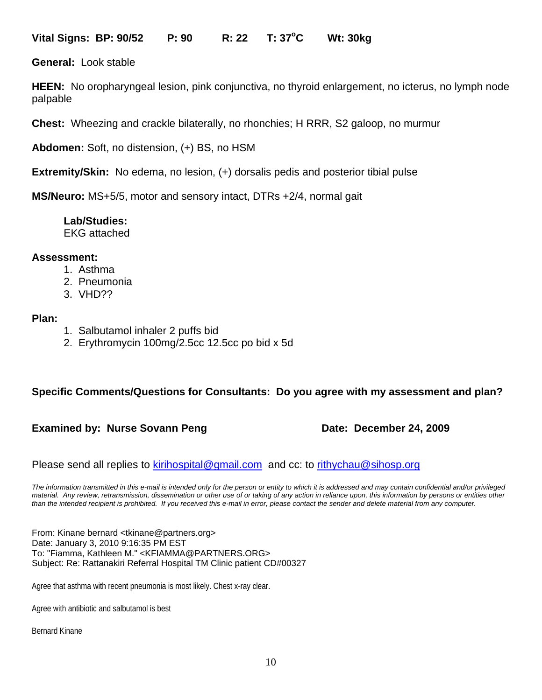**Vital Signs: BP: 90/52 P: 90 R: 22 T: 37o C Wt: 30kg** 

**General:** Look stable

**HEEN:** No oropharyngeal lesion, pink conjunctiva, no thyroid enlargement, no icterus, no lymph node palpable

**Chest:** Wheezing and crackle bilaterally, no rhonchies; H RRR, S2 galoop, no murmur

**Abdomen:** Soft, no distension, (+) BS, no HSM

**Extremity/Skin:** No edema, no lesion, (+) dorsalis pedis and posterior tibial pulse

**MS/Neuro:** MS+5/5, motor and sensory intact, DTRs +2/4, normal gait

# **Lab/Studies:**

EKG attached

#### **Assessment:**

- 1. Asthma
- 2. Pneumonia
- 3. VHD??

#### **Plan:**

- 1. Salbutamol inhaler 2 puffs bid
- 2. Erythromycin 100mg/2.5cc 12.5cc po bid x 5d

### **Specific Comments/Questions for Consultants: Do you agree with my assessment and plan?**

### **Examined by: Nurse Sovann Peng Date: December 24, 2009**

Please send all replies to kirihospital@gmail.com and cc: to rithychau@sihosp.org

*The information transmitted in this e-mail is intended only for the person or entity to which it is addressed and may contain confidential and/or privileged material. Any review, retransmission, dissemination or other use of or taking of any action in reliance upon, this information by persons or entities other than the intended recipient is prohibited. If you received this e-mail in error, please contact the sender and delete material from any computer.*

From: Kinane bernard <tkinane@partners.org> Date: January 3, 2010 9:16:35 PM EST To: "Fiamma, Kathleen M." <KFIAMMA@PARTNERS.ORG> Subject: Re: Rattanakiri Referral Hospital TM Clinic patient CD#00327

Agree that asthma with recent pneumonia is most likely. Chest x-ray clear.

Agree with antibiotic and salbutamol is best

Bernard Kinane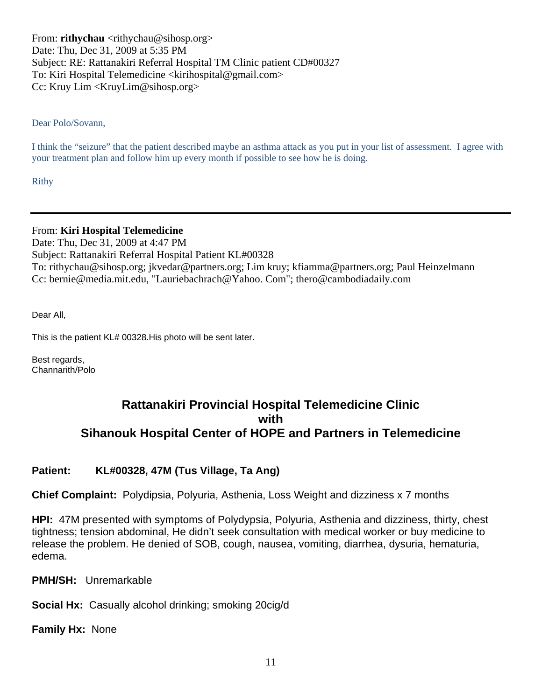From: **rithychau** <rithychau@sihosp.org> Date: Thu, Dec 31, 2009 at 5:35 PM Subject: RE: Rattanakiri Referral Hospital TM Clinic patient CD#00327 To: Kiri Hospital Telemedicine <kirihospital@gmail.com> Cc: Kruy Lim <KruyLim@sihosp.org>

Dear Polo/Sovann,

I think the "seizure" that the patient described maybe an asthma attack as you put in your list of assessment. I agree with your treatment plan and follow him up every month if possible to see how he is doing.

Rithy

From: **Kiri Hospital Telemedicine**

Date: Thu, Dec 31, 2009 at 4:47 PM Subject: Rattanakiri Referral Hospital Patient KL#00328 To: rithychau@sihosp.org; jkvedar@partners.org; Lim kruy; kfiamma@partners.org; Paul Heinzelmann Cc: bernie@media.mit.edu, "Lauriebachrach@Yahoo. Com"; thero@cambodiadaily.com

Dear All,

This is the patient KL# 00328.His photo will be sent later.

Best regards, Channarith/Polo

# **Rattanakiri Provincial Hospital Telemedicine Clinic with Sihanouk Hospital Center of HOPE and Partners in Telemedicine**

### **Patient: KL#00328, 47M (Tus Village, Ta Ang)**

**Chief Complaint:** Polydipsia, Polyuria, Asthenia, Loss Weight and dizziness x 7 months

**HPI:** 47M presented with symptoms of Polydypsia, Polyuria, Asthenia and dizziness, thirty, chest tightness; tension abdominal, He didn't seek consultation with medical worker or buy medicine to release the problem. He denied of SOB, cough, nausea, vomiting, diarrhea, dysuria, hematuria, edema.

**PMH/SH:** Unremarkable

**Social Hx:** Casually alcohol drinking; smoking 20cig/d

**Family Hx:** None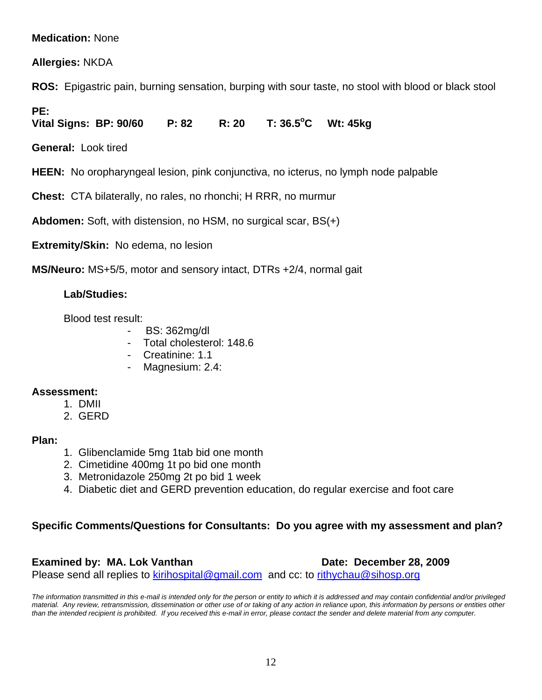# **Medication:** None

**Allergies:** NKDA

**ROS:** Epigastric pain, burning sensation, burping with sour taste, no stool with blood or black stool

**PE:** 

Vital Signs: BP: 90/60 P: 82 R: 20 T: 36.5<sup>o</sup>C **C Wt: 45kg** 

**General:** Look tired

**HEEN:** No oropharyngeal lesion, pink conjunctiva, no icterus, no lymph node palpable

**Chest:** CTA bilaterally, no rales, no rhonchi; H RRR, no murmur

**Abdomen:** Soft, with distension, no HSM, no surgical scar, BS(+)

**Extremity/Skin:** No edema, no lesion

**MS/Neuro:** MS+5/5, motor and sensory intact, DTRs +2/4, normal gait

# **Lab/Studies:**

Blood test result:

- BS: 362mg/dl
- Total cholesterol: 148.6
- Creatinine: 1.1
- Magnesium: 2.4:

### **Assessment:**

- 1. DMII
- 2. GERD

### **Plan:**

- 1. Glibenclamide 5mg 1tab bid one month
- 2. Cimetidine 400mg 1t po bid one month
- 3. Metronidazole 250mg 2t po bid 1 week
- 4. Diabetic diet and GERD prevention education, do regular exercise and foot care

### **Specific Comments/Questions for Consultants: Do you agree with my assessment and plan?**

### **Examined by: MA. Lok Vanthan Date: December 28, 2009**

Please send all replies to kirihospital@gmail.com and cc: to rithychau@sihosp.org

*The information transmitted in this e-mail is intended only for the person or entity to which it is addressed and may contain confidential and/or privileged material. Any review, retransmission, dissemination or other use of or taking of any action in reliance upon, this information by persons or entities other than the intended recipient is prohibited. If you received this e-mail in error, please contact the sender and delete material from any computer.*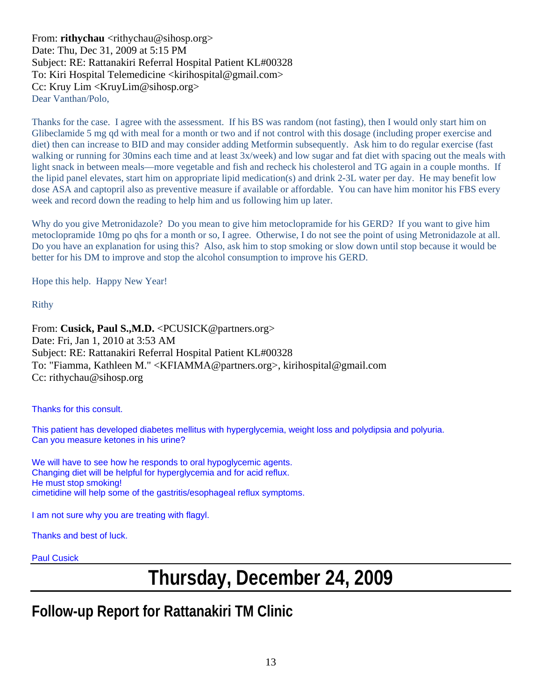From: **rithychau** <rithychau@sihosp.org> Date: Thu, Dec 31, 2009 at 5:15 PM Subject: RE: Rattanakiri Referral Hospital Patient KL#00328 To: Kiri Hospital Telemedicine <kirihospital@gmail.com> Cc: Kruy Lim <KruyLim@sihosp.org> Dear Vanthan/Polo,

Thanks for the case. I agree with the assessment. If his BS was random (not fasting), then I would only start him on Glibeclamide 5 mg qd with meal for a month or two and if not control with this dosage (including proper exercise and diet) then can increase to BID and may consider adding Metformin subsequently. Ask him to do regular exercise (fast walking or running for 30mins each time and at least 3x/week) and low sugar and fat diet with spacing out the meals with light snack in between meals—more vegetable and fish and recheck his cholesterol and TG again in a couple months. If the lipid panel elevates, start him on appropriate lipid medication(s) and drink 2-3L water per day. He may benefit low dose ASA and captopril also as preventive measure if available or affordable. You can have him monitor his FBS every week and record down the reading to help him and us following him up later.

Why do you give Metronidazole? Do you mean to give him metoclopramide for his GERD? If you want to give him metoclopramide 10mg po qhs for a month or so, I agree. Otherwise, I do not see the point of using Metronidazole at all. Do you have an explanation for using this? Also, ask him to stop smoking or slow down until stop because it would be better for his DM to improve and stop the alcohol consumption to improve his GERD.

Hope this help. Happy New Year!

Rithy

From: Cusick, Paul S., M.D. < PCUSICK@partners.org> Date: Fri, Jan 1, 2010 at 3:53 AM Subject: RE: Rattanakiri Referral Hospital Patient KL#00328 To: "Fiamma, Kathleen M." <KFIAMMA@partners.org>, kirihospital@gmail.com Cc: rithychau@sihosp.org

Thanks for this consult.

This patient has developed diabetes mellitus with hyperglycemia, weight loss and polydipsia and polyuria. Can you measure ketones in his urine?

We will have to see how he responds to oral hypoglycemic agents. Changing diet will be helpful for hyperglycemia and for acid reflux. He must stop smoking! cimetidine will help some of the gastritis/esophageal reflux symptoms.

I am not sure why you are treating with flagyl.

Thanks and best of luck.

Paul Cusick

# **Thursday, December 24, 2009**

# **Follow-up Report for Rattanakiri TM Clinic**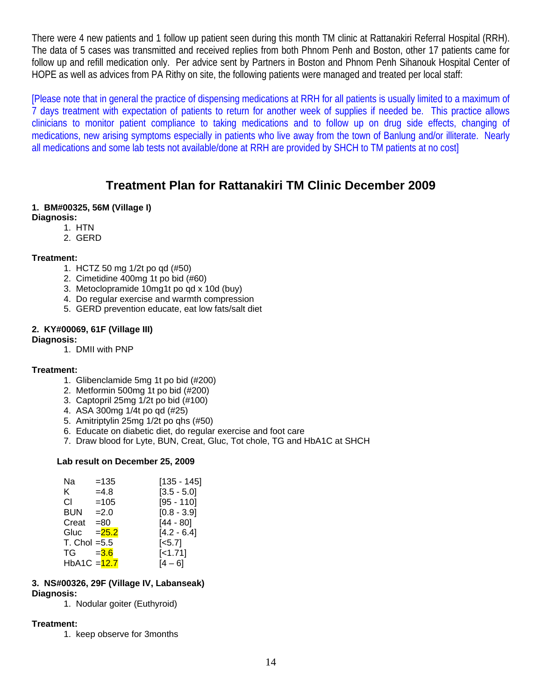There were 4 new patients and 1 follow up patient seen during this month TM clinic at Rattanakiri Referral Hospital (RRH). The data of 5 cases was transmitted and received replies from both Phnom Penh and Boston, other 17 patients came for follow up and refill medication only. Per advice sent by Partners in Boston and Phnom Penh Sihanouk Hospital Center of HOPE as well as advices from PA Rithy on site, the following patients were managed and treated per local staff:

[Please note that in general the practice of dispensing medications at RRH for all patients is usually limited to a maximum of 7 days treatment with expectation of patients to return for another week of supplies if needed be. This practice allows clinicians to monitor patient compliance to taking medications and to follow up on drug side effects, changing of medications, new arising symptoms especially in patients who live away from the town of Banlung and/or illiterate. Nearly all medications and some lab tests not available/done at RRH are provided by SHCH to TM patients at no cost]

# **Treatment Plan for Rattanakiri TM Clinic December 2009**

#### **1. BM#00325, 56M (Village I)**

- **Diagnosis:** 
	- 1. HTN
		- 2. GERD

#### **Treatment:**

- 1. HCTZ 50 mg 1/2t po qd (#50)
- 2. Cimetidine 400mg 1t po bid (#60)
- 3. Metoclopramide 10mg1t po qd x 10d (buy)
- 4. Do regular exercise and warmth compression
- 5. GERD prevention educate, eat low fats/salt diet

#### **2. KY#00069, 61F (Village III)**

#### **Diagnosis:**

1. DMII with PNP

#### **Treatment:**

- 1. Glibenclamide 5mg 1t po bid (#200)
- 2. Metformin 500mg 1t po bid (#200)
- 3. Captopril 25mg 1/2t po bid (#100)
- 4. ASA 300mg 1/4t po qd (#25)
- 5. Amitriptylin 25mg 1/2t po qhs (#50)
- 6. Educate on diabetic diet, do regular exercise and foot care
- 7. Draw blood for Lyte, BUN, Creat, Gluc, Tot chole, TG and HbA1C at SHCH

#### **Lab result on December 25, 2009**

| Na         | $=135$                 | $[135 - 145]$         |
|------------|------------------------|-----------------------|
| K.         | $=4.8$                 | $[3.5 - 5.0]$         |
| СI         | $=105$                 | $[95 - 110]$          |
| <b>BUN</b> | $=2.0$                 | $[0.8 - 3.9]$         |
| Creat      | $= 80$                 | $[44 - 80]$           |
| Gluc       | $= 25.2$               | $[4.2 - 6.4]$         |
|            | $T_{\rm L}$ Chol = 5.5 | $\left[ <5.7 \right]$ |
| TG         | $= 3.6$                | $[-1.71]$             |
|            | $HbA1C = 12.7$         | [4 – 6]               |

#### **3. NS#00326, 29F (Village IV, Labanseak) Diagnosis:**

1. Nodular goiter (Euthyroid)

#### **Treatment:**

1. keep observe for 3months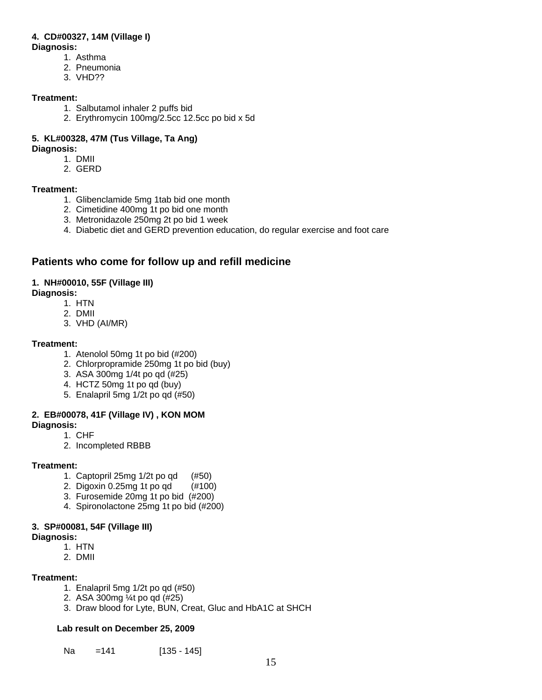#### **4. CD#00327, 14M (Village I)**

#### **Diagnosis:**

- 1. Asthma
- 2. Pneumonia
- 3. VHD??

#### **Treatment:**

- 1. Salbutamol inhaler 2 puffs bid
- 2. Erythromycin 100mg/2.5cc 12.5cc po bid x 5d

#### **5. KL#00328, 47M (Tus Village, Ta Ang) Diagnosis:**

- - 1. DMII
	- 2. GERD

#### **Treatment:**

- 1. Glibenclamide 5mg 1tab bid one month
- 2. Cimetidine 400mg 1t po bid one month
- 3. Metronidazole 250mg 2t po bid 1 week
- 4. Diabetic diet and GERD prevention education, do regular exercise and foot care

# **Patients who come for follow up and refill medicine**

#### **1. NH#00010, 55F (Village III)**

#### **Diagnosis:**

- 1. HTN
- 2. DMII
- 3. VHD (AI/MR)

#### **Treatment:**

- 1. Atenolol 50mg 1t po bid (#200)
- 2. Chlorpropramide 250mg 1t po bid (buy)
- 3. ASA 300mg 1/4t po qd (#25)
- 4. HCTZ 50mg 1t po qd (buy)
- 5. Enalapril 5mg 1/2t po qd (#50)

### **2. EB#00078, 41F (Village IV) , KON MOM**

**Diagnosis:** 

- 1. CHF
- 2. Incompleted RBBB

#### **Treatment:**

- 1. Captopril 25mg 1/2t po qd (#50)
- 2. Digoxin 0.25mg 1t po qd (#100)
- 3. Furosemide 20mg 1t po bid (#200)
- 4. Spironolactone 25mg 1t po bid (#200)

#### **3. SP#00081, 54F (Village III)**

- **Diagnosis:**
	- 1. HTN
	- 2. DMII

#### **Treatment:**

- 1. Enalapril 5mg 1/2t po qd (#50)
- 2. ASA 300mg ¼t po qd (#25)
- 3. Draw blood for Lyte, BUN, Creat, Gluc and HbA1C at SHCH

#### **Lab result on December 25, 2009**

Na = 141 [135 - 145]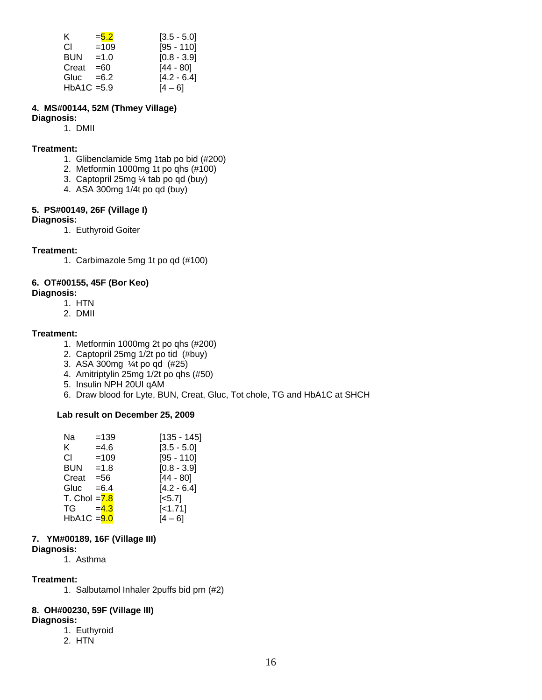| ĸ.         | $= 5.2$       | $[3.5 - 5.0]$ |
|------------|---------------|---------------|
| СI         | $=109$        | $[95 - 110]$  |
| <b>BUN</b> | $=1.0$        | $[0.8 - 3.9]$ |
| Creat      | $=60$         | $[44 - 80]$   |
| Gluc       | $=6.2$        | $[4.2 - 6.4]$ |
|            | $HbA1C = 5.9$ | $[4 - 6]$     |

#### **4. MS#00144, 52M (Thmey Village)**

# **Diagnosis:**

1. DMII

#### **Treatment:**

- 1. Glibenclamide 5mg 1tab po bid (#200)
- 2. Metformin 1000mg 1t po qhs (#100)
- 3. Captopril 25mg ¼ tab po qd (buy)
- 4. ASA 300mg 1/4t po qd (buy)

#### **5. PS#00149, 26F (Village I)**

#### **Diagnosis:**

1. Euthyroid Goiter

#### **Treatment:**

1. Carbimazole 5mg 1t po qd (#100)

#### **6. OT#00155, 45F (Bor Keo)**

#### **Diagnosis:**

- 1. HTN
- 2. DMII

#### **Treatment:**

- 1. Metformin 1000mg 2t po qhs (#200)
- 2. Captopril 25mg 1/2t po tid (#buy)
- 3. ASA 300mg ¼t po qd (#25)
- 4. Amitriptylin 25mg 1/2t po qhs (#50)
- 5. Insulin NPH 20UI qAM
- 6. Draw blood for Lyte, BUN, Creat, Gluc, Tot chole, TG and HbA1C at SHCH

#### **Lab result on December 25, 2009**

| Na              | $=139$  | $[135 - 145]$      |
|-----------------|---------|--------------------|
| K.              | $=4.6$  | $[3.5 - 5.0]$      |
| СI              | $=109$  | $[95 - 110]$       |
| BUN             | $=1.8$  | $[0.8 - 3.9]$      |
| Creat           | $= 56$  | $[44 - 80]$        |
| Gluc            | $= 6.4$ | $[4.2 - 6.4]$      |
| T. Chol $= 7.8$ |         | [ <sub>5.7</sub> ] |
| TG              | $=4.3$  | $[-1.71]$          |
| $HbA1C = 9.0$   |         | $[4 - 6]$          |
|                 |         |                    |

#### **7. YM#00189, 16F (Village III)**

#### **Diagnosis:**

1. Asthma

#### **Treatment:**

1. Salbutamol Inhaler 2puffs bid prn (#2)

#### **8. OH#00230, 59F (Village III)**

#### **Diagnosis:**

- 1. Euthyroid
- 2. HTN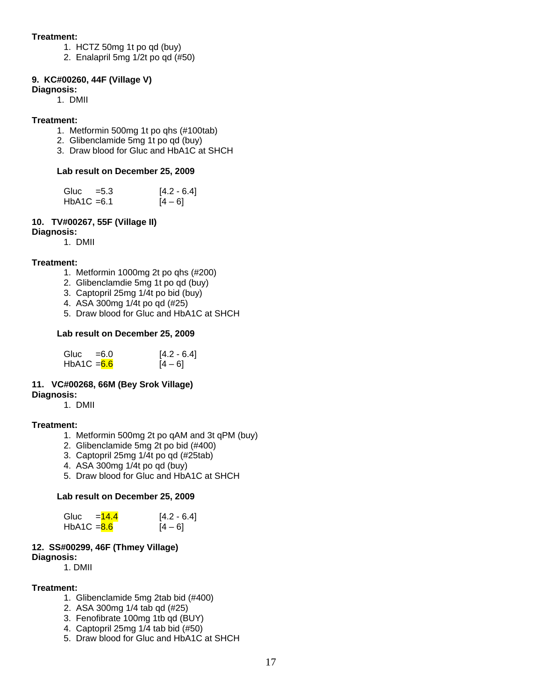#### **Treatment:**

- 1. HCTZ 50mg 1t po qd (buy)
- 2. Enalapril 5mg 1/2t po qd (#50)

#### **9. KC#00260, 44F (Village V)**

#### **Diagnosis:**

1. DMII

#### **Treatment:**

- 1. Metformin 500mg 1t po qhs (#100tab)
- 2. Glibenclamide 5mg 1t po qd (buy)
- 3. Draw blood for Gluc and HbA1C at SHCH

#### **Lab result on December 25, 2009**

| Gluc $=5.3$   | $[4.2 - 6.4]$ |
|---------------|---------------|
| $HbA1C = 6.1$ | $[4 - 6]$     |

#### **10. TV#00267, 55F (Village II)**

**Diagnosis:**

1. DMII

#### **Treatment:**

- 1. Metformin 1000mg 2t po qhs (#200)
- 2. Glibenclamdie 5mg 1t po qd (buy)
- 3. Captopril 25mg 1/4t po bid (buy)
- 4. ASA 300mg 1/4t po qd (#25)
- 5. Draw blood for Gluc and HbA1C at SHCH

#### **Lab result on December 25, 2009**

| Gluc $=6.0$   | $[4.2 - 6.4]$ |
|---------------|---------------|
| $HbA1C = 6.6$ | $[4 - 6]$     |

#### **11. VC#00268, 66M (Bey Srok Village)**

**Diagnosis:**

1. DMII

#### **Treatment:**

- 1. Metformin 500mg 2t po qAM and 3t qPM (buy)
- 2. Glibenclamide 5mg 2t po bid (#400)
- 3. Captopril 25mg 1/4t po qd (#25tab)
- 4. ASA 300mg 1/4t po qd (buy)
- 5. Draw blood for Gluc and HbA1C at SHCH

#### **Lab result on December 25, 2009**

| $=14.4$<br>Gluc | $[4.2 - 6.4]$ |
|-----------------|---------------|
| $HbA1C = 8.6$   | $[4 - 6]$     |

#### **12. SS#00299, 46F (Thmey Village) Diagnosis:**

1. DMII

#### **Treatment:**

- 1. Glibenclamide 5mg 2tab bid (#400)
- 2. ASA 300mg 1/4 tab qd (#25)
- 3. Fenofibrate 100mg 1tb qd (BUY)
- 4. Captopril 25mg 1/4 tab bid (#50)
- 5. Draw blood for Gluc and HbA1C at SHCH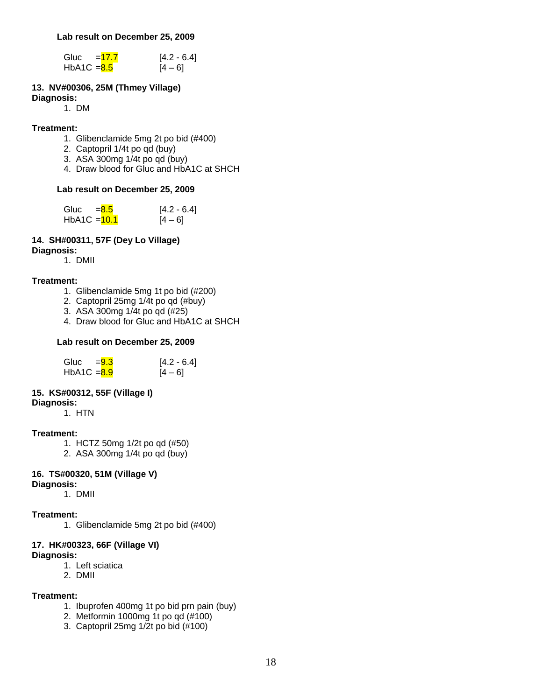#### **Lab result on December 25, 2009**

| Gluc          | $=17.7$ | $[4.2 - 6.4]$ |
|---------------|---------|---------------|
| HbA1C $= 8.5$ |         | $[4 - 6]$     |

#### **13. NV#00306, 25M (Thmey Village)**

#### **Diagnosis:**

1. DM

#### **Treatment:**

- 1. Glibenclamide 5mg 2t po bid (#400)
- 2. Captopril 1/4t po qd (buy)
- 3. ASA 300mg 1/4t po qd (buy)
- 4. Draw blood for Gluc and HbA1C at SHCH

#### **Lab result on December 25, 2009**

| Gluc<br>$= 8.5$ | $[4.2 - 6.4]$ |
|-----------------|---------------|
| $HbA1C = 10.1$  | $[4 - 6]$     |

#### **14. SH#00311, 57F (Dey Lo Village) Diagnosis:**

1. DMII

# **Treatment:**

- 1. Glibenclamide 5mg 1t po bid (#200)
- 2. Captopril 25mg 1/4t po qd (#buy)
- 3. ASA 300mg 1/4t po qd (#25)
- 4. Draw blood for Gluc and HbA1C at SHCH

#### **Lab result on December 25, 2009**

| Gluc<br>$= 9.3$ | $[4.2 - 6.4]$ |
|-----------------|---------------|
| $HbA1C = 8.9$   | $[4 - 6]$     |

#### **15. KS#00312, 55F (Village I)**

**Diagnosis:** 

1. HTN

#### **Treatment:**

- 1. HCTZ 50mg 1/2t po qd (#50)
- 2. ASA 300mg 1/4t po qd (buy)

# **16. TS#00320, 51M (Village V)**

# **Diagnosis:**

1. DMII

#### **Treatment:**

1. Glibenclamide 5mg 2t po bid (#400)

# **17. HK#00323, 66F (Village VI)**

**Diagnosis:** 

- 1. Left sciatica
- 2. DMII

#### **Treatment:**

- 1. Ibuprofen 400mg 1t po bid prn pain (buy)
- 2. Metformin 1000mg 1t po qd (#100)
- 3. Captopril 25mg 1/2t po bid (#100)